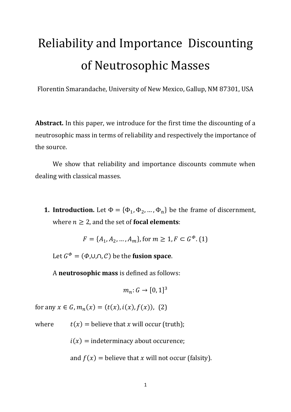# Reliability and Importance Discounting of Neutrosophic Masses

Florentin Smarandache, University of New Mexico, Gallup, NM 87301, USA

**Abstract.** In this paper, we introduce for the first time the discounting of a neutrosophic mass in terms of reliability and respectively the importance of the source.

We show that reliability and importance discounts commute when dealing with classical masses.

**1. Introduction.** Let  $\Phi = {\Phi_1, \Phi_2, ..., \Phi_n}$  be the frame of discernment, where  $n \geq 2$ , and the set of **focal elements**:

$$
F = \{A_1, A_2, \dots, A_m\}, \text{for } m \ge 1, F \subset G^{\Phi}.
$$
 (1)

Let  $G^{\Phi} = (\Phi, \cup, \cap, C)$  be the **fusion space**.

A **neutrosophic mass** is defined as follows:

$$
m_n\colon G\to[0,1]^3
$$

for any  $x \in G$ ,  $m_n(x) = (t(x), i(x), f(x))$ , (2)

where  $t(x) =$  believe that x will occur (truth);

 $i(x)$  = indeterminacy about occurence;

and  $f(x)$  = believe that x will not occur (falsity).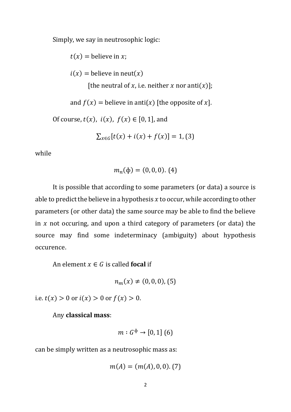Simply, we say in neutrosophic logic:

 $t(x) =$  believe in x;  $i(x)$  = believe in neut(x) [the neutral of x, i.e. neither x nor anti(x)]; and  $f(x) =$  believe in anti(x) [the opposite of x]. Of course,  $t(x)$ ,  $i(x)$ ,  $f(x) \in [0, 1]$ , and  $\sum_{x \in G} [t(x) + i(x) + f(x)] = 1,$  (3)

while

$$
m_n(\phi) = (0,0,0). (4)
$$

It is possible that according to some parameters (or data) a source is able to predict the believe in a hypothesis  $x$  to occur, while according to other parameters (or other data) the same source may be able to find the believe in  $x$  not occuring, and upon a third category of parameters (or data) the source may find some indeterminacy (ambiguity) about hypothesis occurence.

An element  $x \in G$  is called **focal** if

$$
n_m(x) \neq (0,0,0), (5)
$$

i.e.  $t(x) > 0$  or  $i(x) > 0$  or  $f(x) > 0$ .

Any **classical mass**:

$$
m: G^{\phi} \to [0,1] \ (6)
$$

can be simply written as a neutrosophic mass as:

$$
m(A) = (m(A), 0, 0). (7)
$$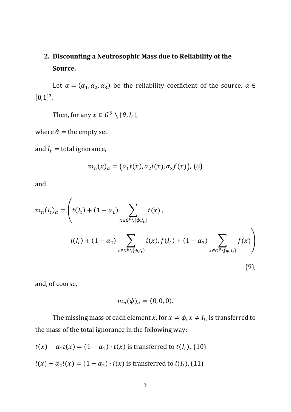# **2. Discounting a Neutrosophic Mass due to Reliability of the Source.**

Let  $\alpha = (\alpha_1, \alpha_2, \alpha_3)$  be the reliability coefficient of the source,  $\alpha \in$  $[0,1]^3$ .

Then, for any  $x \in G^{\theta} \setminus {\theta, I_t}$ ,

where  $\theta$  = the empty set

and  $I_t =$  total ignorance,

$$
m_n(x)_a = (a_1 t(x), a_2 i(x), a_3 f(x)),
$$
 (8)

and

$$
m_n(I_t)_{\alpha} = \left( t(I_t) + (1 - \alpha_1) \sum_{x \in G^{\theta} \setminus \{\phi, I_t\}} t(x),
$$
  
 
$$
i(I_t) + (1 - \alpha_2) \sum_{x \in G^{\theta} \setminus \{\phi, I_t\}} i(x), f(I_t) + (1 - \alpha_3) \sum_{x \in G^{\theta} \setminus \{\phi, I_t\}} f(x) \right)
$$
  
(9),

and, of course,

$$
m_n(\phi)_\alpha=(0,0,0).
$$

The missing mass of each element x, for  $x \neq \phi$ ,  $x \neq I_t$ , is transferred to the mass of the total ignorance in the following way:

$$
t(x) - \alpha_1 t(x) = (1 - \alpha_1) \cdot t(x)
$$
 is transferred to  $t(I_t)$ , (10)  

$$
i(x) - \alpha_2 i(x) = (1 - \alpha_2) \cdot i(x)
$$
 is transferred to  $i(I_t)$ , (11)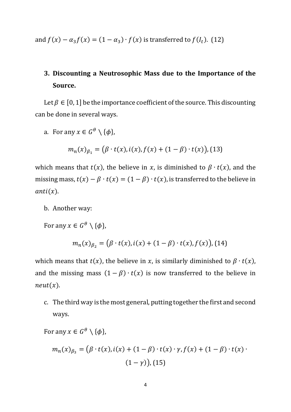and  $f(x) - \alpha_3 f(x) = (1 - \alpha_3) \cdot f(x)$  is transferred to  $f(l_t)$ . (12)

## **3. Discounting a Neutrosophic Mass due to the Importance of the Source.**

Let  $\beta \in [0, 1]$  be the importance coefficient of the source. This discounting can be done in several ways.

a. For any  $x \in G^\theta \setminus \{\phi\},\$ 

$$
m_n(x)_{\beta_1} = (\beta \cdot t(x), i(x), f(x) + (1 - \beta) \cdot t(x)),
$$
 (13)

which means that  $t(x)$ , the believe in x, is diminished to  $\beta \cdot t(x)$ , and the missing mass,  $t(x) - \beta \cdot t(x) = (1 - \beta) \cdot t(x)$ , is transferred to the believe in  $anti(x).$ 

b. Another way:

For any  $x \in G^{\theta} \setminus {\{\phi\}}$ ,

$$
m_n(x)_{\beta_2} = (\beta \cdot t(x), i(x) + (1 - \beta) \cdot t(x), f(x)),
$$
 (14)

which means that  $t(x)$ , the believe in x, is similarly diminished to  $\beta \cdot t(x)$ , and the missing mass  $(1 - \beta) \cdot t(x)$  is now transferred to the believe in  $neut(x).$ 

c. The third way is the most general, putting together the first and second ways.

For any  $x \in G^{\theta} \setminus \{\phi\},\$ 

$$
m_n(x)_{\beta_3} = (\beta \cdot t(x), i(x) + (1 - \beta) \cdot t(x) \cdot \gamma, f(x) + (1 - \beta) \cdot t(x) \cdot (1 - \gamma)),
$$
  
(1 - \gamma)), (15)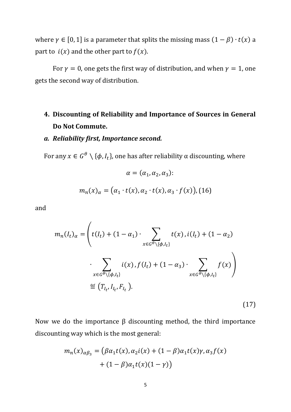where  $\gamma \in [0, 1]$  is a parameter that splits the missing mass  $(1 - \beta) \cdot t(x)$  a part to  $i(x)$  and the other part to  $f(x)$ .

For  $\gamma = 0$ , one gets the first way of distribution, and when  $\gamma = 1$ , one gets the second way of distribution.

# **4. Discounting of Reliability and Importance of Sources in General Do Not Commute.**

#### *a. Reliability first, Importance second.*

For any  $x \in G^{\theta} \setminus {\phi, I_t}$ , one has after reliability α discounting, where

$$
\alpha = (\alpha_1, \alpha_2, \alpha_3):
$$
  

$$
m_n(x)_{\alpha} = (\alpha_1 \cdot t(x), \alpha_2 \cdot t(x), \alpha_3 \cdot f(x)),
$$
 (16)

and

$$
m_n(I_t)_{\alpha} = \left( t(I_t) + (1 - \alpha_1) \cdot \sum_{x \in G^{\theta} \setminus \{\phi, I_t\}} t(x), i(I_t) + (1 - \alpha_2) \cdot \sum_{x \in G^{\theta} \setminus \{\phi, I_t\}} i(x), f(I_t) + (1 - \alpha_3) \cdot \sum_{x \in G^{\theta} \setminus \{\phi, I_t\}} f(x) \right)
$$
  

$$
\stackrel{\text{def}}{=} (T_{I_t}, I_{I_t}, F_{I_t}).
$$

(17)

Now we do the importance β discounting method, the third importance discounting way which is the most general:

$$
m_n(x)_{\alpha\beta_3} = (\beta\alpha_1 t(x), \alpha_2 i(x) + (1 - \beta)\alpha_1 t(x)\gamma, \alpha_3 f(x) + (1 - \beta)\alpha_1 t(x)(1 - \gamma))
$$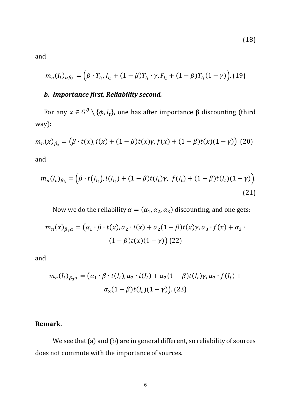and

$$
m_n(I_t)_{\alpha\beta_3} = (\beta \cdot T_{I_t}, I_{I_t} + (1-\beta)T_{I_t} \cdot \gamma, F_{I_t} + (1-\beta)T_{I_t}(1-\gamma)).
$$
 (19)

## *b. Importance first, Reliability second.*

For any  $x \in G^{\theta} \setminus {\phi, I_t}$ , one has after importance β discounting (third way):

$$
m_n(x)_{\beta_3} = (\beta \cdot t(x), i(x) + (1 - \beta)t(x)\gamma, f(x) + (1 - \beta)t(x)(1 - \gamma))
$$
 (20)

and

$$
m_n(I_t)_{\beta_3} = (\beta \cdot t(I_{I_t}), i(I_{I_t}) + (1 - \beta)t(I_t)\gamma, f(I_t) + (1 - \beta)t(I_t)(1 - \gamma)).
$$
\n(21)

Now we do the reliability  $\alpha = (\alpha_1, \alpha_2, \alpha_3)$  discounting, and one gets:

$$
m_n(x)_{\beta_3\alpha} = (\alpha_1 \cdot \beta \cdot t(x), \alpha_2 \cdot i(x) + \alpha_2(1-\beta)t(x)\gamma, \alpha_3 \cdot f(x) + \alpha_3 \cdot (1-\beta)t(x)(1-\gamma))
$$
(22)

and

$$
m_n(I_t)_{\beta_3\alpha} = (\alpha_1 \cdot \beta \cdot t(I_t), \alpha_2 \cdot i(I_t) + \alpha_2(1-\beta)t(I_t)\gamma, \alpha_3 \cdot f(I_t) + \alpha_3(1-\beta)t(I_t)(1-\gamma)).
$$
 (23)

#### **Remark.**

We see that (a) and (b) are in general different, so reliability of sources does not commute with the importance of sources.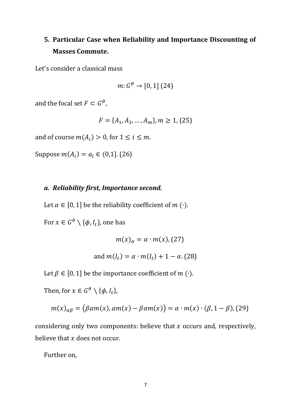# **5. Particular Case when Reliability and Importance Discounting of Masses Commute.**

Let's consider a classical mass

$$
m: G^{\theta} \to [0,1] \, (24)
$$

and the focal set  $F \subset G^{\theta}$ ,

$$
F = \{A_1, A_2, \dots, A_m\}, m \ge 1, (25)
$$

and of course  $m(A_i) > 0$ , for  $1 \le i \le m$ .

Suppose  $m(A_i) = a_i \in (0,1]$ . (26)

#### *a. Reliability first, Importance second.*

Let  $\alpha \in [0, 1]$  be the reliability coefficient of  $m(\cdot)$ .

For  $x \in G^{\theta} \setminus {\{\phi, I_t\}}$ , one has

$$
m(x)_{\alpha}=\alpha\cdot m(x),
$$

and 
$$
m(I_t) = \alpha \cdot m(I_t) + 1 - \alpha
$$
. (28)

Let  $\beta \in [0, 1]$  be the importance coefficient of  $m(\cdot)$ .

Then, for  $x \in G^\theta \setminus {\{\phi, I_t\}}$ ,

$$
m(x)_{\alpha\beta} = (\beta \alpha m(x), \alpha m(x) - \beta \alpha m(x)) = \alpha \cdot m(x) \cdot (\beta, 1 - \beta), (29)
$$

considering only two components: believe that  $x$  occurs and, respectively, believe that  $x$  does not occur.

Further on,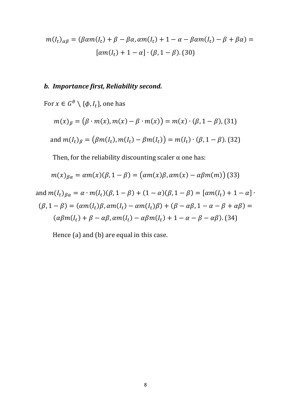$$
m(I_t)_{\alpha\beta} = (\beta \alpha m(I_t) + \beta - \beta \alpha, \alpha m(I_t) + 1 - \alpha - \beta \alpha m(I_t) - \beta + \beta \alpha) =
$$

$$
[\alpha m(I_t) + 1 - \alpha] \cdot (\beta, 1 - \beta). \text{ (30)}
$$

#### *b. Importance first, Reliability second.*

For  $x \in G^{\theta} \setminus {\{\phi, I_t\}}$ , one has

$$
m(x)_{\beta} = (\beta \cdot m(x), m(x) - \beta \cdot m(x)) = m(x) \cdot (\beta, 1 - \beta),
$$
\n(31)  
\nand 
$$
m(I_t)_{\beta} = (\beta m(I_t), m(I_t) - \beta m(I_t)) = m(I_t) \cdot (\beta, 1 - \beta).
$$

Then, for the reliability discounting scaler  $\alpha$  one has:

$$
m(x)_{\beta\alpha} = \alpha m(x)(\beta, 1 - \beta) = (\alpha m(x)\beta, \alpha m(x) - \alpha \beta m(m))
$$
 (33)

and  $m(I_t)_{\beta\alpha} = \alpha \cdot m(I_t)(\beta, 1 - \beta) + (1 - \alpha)(\beta, 1 - \beta) = [\alpha m(I_t) + 1 - \alpha]$ .  $(\beta, 1 - \beta) = (\alpha m(I_t)\beta, \alpha m(I_t) - \alpha m(I_t)\beta) + (\beta - \alpha \beta, 1 - \alpha - \beta + \alpha \beta) =$  $(\alpha\beta m(l_t) + \beta - \alpha\beta, \alpha m(l_t) - \alpha\beta m(l_t) + 1 - \alpha - \beta - \alpha\beta)$ . (34)

Hence (a) and (b) are equal in this case.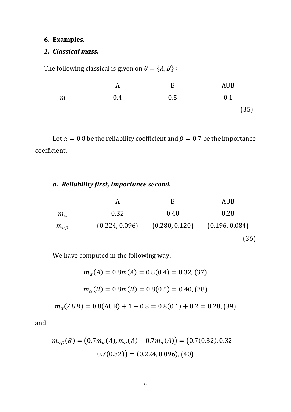#### **6. Examples.**

## *1. Classical mass.*

The following classical is given on  $\theta = \{A, B\}$ :

|               | A   | B   | <b>AUB</b> |
|---------------|-----|-----|------------|
| $\mathfrak m$ | 0.4 | 0.5 | 0.1        |
|               |     |     | (35)       |

Let  $\alpha = 0.8$  be the reliability coefficient and  $\beta = 0.7$  be the importance coefficient.

*a. Reliability first, Importance second.*

|                   |                | B              | AUB            |
|-------------------|----------------|----------------|----------------|
| $m_{\alpha}$      | 0.32           | 0.40           | 0.28           |
| $m_{\alpha\beta}$ | (0.224, 0.096) | (0.280, 0.120) | (0.196, 0.084) |
|                   |                |                | (36)           |

We have computed in the following way:

$$
m_{\alpha}(A) = 0.8m(A) = 0.8(0.4) = 0.32, (37)
$$

$$
m_{\alpha}(B) = 0.8m(B) = 0.8(0.5) = 0.40, (38)
$$

 $m_{\alpha}(AUB) = 0.8(AUB) + 1 - 0.8 = 0.8(0.1) + 0.2 = 0.28, (39)$ 

and

$$
m_{\alpha\beta}(B) = (0.7m_{\alpha}(A), m_{\alpha}(A) - 0.7m_{\alpha}(A)) = (0.7(0.32), 0.32 - 0.7(0.32)) = (0.224, 0.096), (40)
$$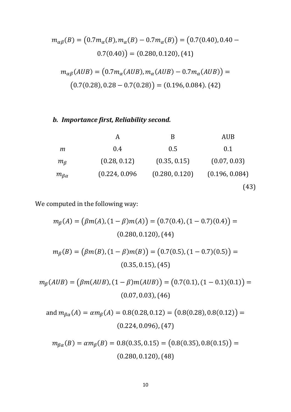$$
m_{\alpha\beta}(B) = (0.7m_{\alpha}(B), m_{\alpha}(B) - 0.7m_{\alpha}(B)) = (0.7(0.40), 0.40 - 0.7(0.40)) = (0.280, 0.120), (41)
$$
  

$$
m_{\alpha\beta}(AUB) = (0.7m_{\alpha}(AUB), m_{\alpha}(AUB) - 0.7m_{\alpha}(AUB)) = (0.7(0.28), 0.28 - 0.7(0.28)) = (0.196, 0.084). (42)
$$

## *b. Importance first, Reliability second.*

|                   | А              | В              | <b>AUB</b>     |
|-------------------|----------------|----------------|----------------|
| m                 | 0.4            | 0.5            | 0.1            |
| $m_{\beta}$       | (0.28, 0.12)   | (0.35, 0.15)   | (0.07, 0.03)   |
| $m_{\beta\alpha}$ | (0.224, 0.096) | (0.280, 0.120) | (0.196, 0.084) |
|                   |                |                | (43)           |

We computed in the following way:

$$
m_{\beta}(A) = (\beta m(A), (1 - \beta)m(A)) = (0.7(0.4), (1 - 0.7)(0.4)) =
$$
  
(0.280, 0.120), (44)  

$$
m_{\beta}(B) = (\beta m(B), (1 - \beta)m(B)) = (0.7(0.5), (1 - 0.7)(0.5)) =
$$
  
(0.35, 0.15), (45)  

$$
\mu_{\beta}(AUB) = (\beta m(AUB), (1 - \beta)m(AUB)) = (0.7(0.1), (1 - 0.1)(0.1)) =
$$
  
(0.07, 0.03), (46)  
and 
$$
m_{\beta\alpha}(A) = \alpha m_{\beta}(A) = 0.8(0.28, 0.12) = (0.8(0.28), 0.8(0.12)) =
$$
  
(0.224, 0.096), (47)

 $m_{\beta}(AUB) = (\beta m(AUB), (1 - \beta)m(AUB)) = (0.7(0.1), (1 - 0.1)(0.1)) =$ 

$$
m_{\beta\alpha}(B) = \alpha m_{\beta}(B) = 0.8(0.35, 0.15) = (0.8(0.35), 0.8(0.15)) =
$$
  
(0.280, 0.120), (48)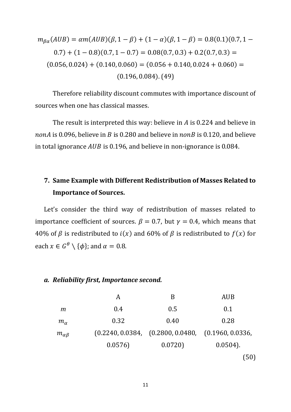$$
m_{\beta\alpha}(AUB) = \alpha m(AUB)(\beta, 1 - \beta) + (1 - \alpha)(\beta, 1 - \beta) = 0.8(0.1)(0.7, 1 - 0.7) + (1 - 0.8)(0.7, 1 - 0.7) = 0.08(0.7, 0.3) + 0.2(0.7, 0.3) =
$$
  
(0.056, 0.024) + (0.140, 0.060) = (0.056 + 0.140, 0.024 + 0.060) =  
(0.196, 0.084). (49)

Therefore reliability discount commutes with importance discount of sources when one has classical masses.

The result is interpreted this way: believe in  $\vec{A}$  is 0.224 and believe in nonA is 0.096, believe in B is 0.280 and believe in nonB is 0.120, and believe in total ignorance  $AUB$  is 0.196, and believe in non-ignorance is 0.084.

## **7. Same Example with Different Redistribution of Masses Related to Importance of Sources.**

Let's consider the third way of redistribution of masses related to importance coefficient of sources.  $\beta = 0.7$ , but  $\gamma = 0.4$ , which means that 40% of  $\beta$  is redistributed to  $i(x)$  and 60% of  $\beta$  is redistributed to  $f(x)$  for each  $x \in G^{\theta} \setminus {\{\phi\}}$ ; and  $\alpha = 0.8$ .

#### *a. Reliability first, Importance second.*

|                   | A      | B                                                                | <b>AUB</b>  |
|-------------------|--------|------------------------------------------------------------------|-------------|
| m                 | 0.4    | 0.5                                                              | 0.1         |
| $m_{\alpha}$      | 0.32   | 0.40                                                             | 0.28        |
| $m_{\alpha\beta}$ |        | $(0.2240, 0.0384, \quad (0.2800, 0.0480, \quad (0.1960, 0.0336,$ |             |
|                   | 0.0576 | 0.0720                                                           | $0.0504$ ). |
|                   |        |                                                                  | (50)        |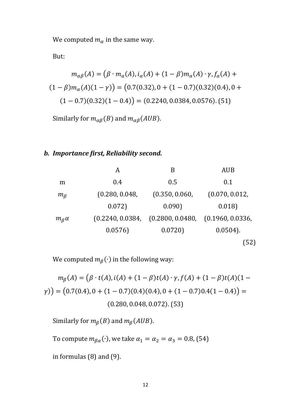We computed  $m_{\alpha}$  in the same way.

But:

$$
m_{\alpha\beta}(A) = (\beta \cdot m_{\alpha}(A), i_{\alpha}(A) + (1 - \beta)m_{\alpha}(A) \cdot \gamma, f_{\alpha}(A) + (1 - \beta)m_{\alpha}(A)(1 - \gamma)) = (0.7(0.32), 0 + (1 - 0.7)(0.32)(0.4), 0 + (1 - 0.7)(0.32)(1 - 0.4)) = (0.2240, 0.0384, 0.0576). (51)
$$

Similarly for  $m_{\alpha\beta}(B)$  and  $m_{\alpha\beta}(AUB)$ .

### *b. Importance first, Reliability second.*

|                      | A                | B                                 | <b>AUB</b>     |
|----------------------|------------------|-----------------------------------|----------------|
| m                    | 0.4              | 0.5                               | 0.1            |
| $m_{\beta}$          | (0.280, 0.048,   | (0.350, 0.060,                    | (0.070, 0.012, |
|                      | 0.072)           | 0.090                             | 0.018          |
| $m_{\beta}$ $\alpha$ | (0.2240, 0.0384, | (0.2800, 0.0480, (0.1960, 0.0336, |                |
|                      | 0.0576           | 0.0720                            | $0.0504$ ).    |
|                      |                  |                                   | (52)           |

We computed  $m_\beta(\cdot)$  in the following way:

 $m_{\beta}(A) = (\beta \cdot t(A), i(A) + (1 - \beta)t(A) \cdot \gamma, f(A) + (1 - \beta)t(A)(1 (\gamma)$ ) = (0.7(0.4), 0 + (1 – 0.7)(0.4)(0.4), 0 + (1 – 0.7)0.4(1 – 0.4)) = (0.280, 0.048, 0.072). (53)

Similarly for  $m_\beta(B)$  and  $m_\beta(AUB)$ .

To compute  $m_{\beta\alpha}(\cdot)$ , we take  $\alpha_1 = \alpha_2 = \alpha_3 = 0.8$ , (54)

in formulas (8) and (9).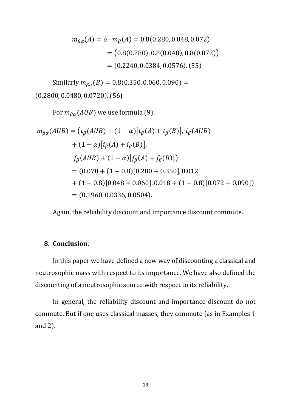$$
m_{\beta\alpha}(A) = \alpha \cdot m_{\beta}(A) = 0.8(0.280, 0.048, 0.072)
$$
  
= (0.8(0.280), 0.8(0.048), 0.8(0.072))  
= (0.2240, 0.0384, 0.0576). (55)

Similarly  $m_{\beta\alpha}(B) = 0.8(0.350, 0.060, 0.090) =$ 

(0.2800, 0.0480, 0.0720). (56)

For  $m_{\beta\alpha}(AUB)$  we use formula (9):

$$
m_{\beta\alpha}(AUB) = (t_{\beta}(AUB) + (1 - \alpha)[t_{\beta}(A) + t_{\beta}(B)], i_{\beta}(AUB)
$$
  
+  $(1 - \alpha)[i_{\beta}(A) + i_{\beta}(B)],$   

$$
f_{\beta}(AUB) + (1 - \alpha)[f_{\beta}(A) + f_{\beta}(B)])
$$
  
=  $(0.070 + (1 - 0.8)[0.280 + 0.350], 0.012$   
+  $(1 - 0.8)[0.048 + 0.060], 0.018 + (1 - 0.8)[0.072 + 0.090])$   
=  $(0.1960, 0.0336, 0.0504).$ 

Again, the reliability discount and importance discount commute.

#### **8. Conclusion.**

In this paper we have defined a new way of discounting a classical and neutrosophic mass with respect to its importance. We have also defined the discounting of a neutrosophic source with respect to its reliability.

In general, the reliability discount and importance discount do not commute. But if one uses classical masses, they commute (as in Examples 1 and 2).